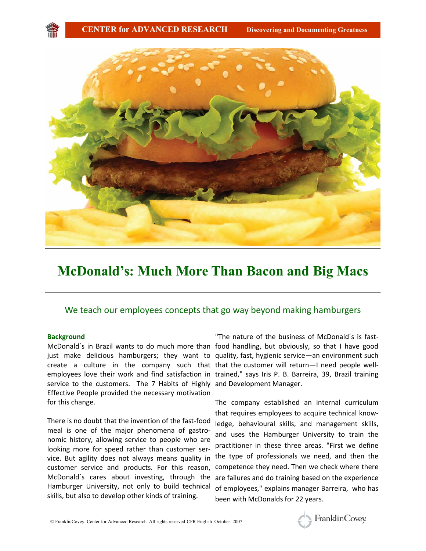

# **McDonald's: Much More Than Bacon and Big Macs**

# We teach our employees concepts that go way beyond making hamburgers

### **Background**

McDonald´s in Brazil wants to do much more than food handling, but obviously, so that I have good create a culture in the company such that that the customer will return—I need people wellemployees love their work and find satisfaction in trained," says Iris P. B. Barreira, 39, Brazil training service to the customers. The 7 Habits of Highly and Development Manager. Effective People provided the necessary motivation for this change.

There is no doubt that the invention of the fast-food meal is one of the major phenomena of gastronomic history, allowing service to people who are looking more for speed rather than customer service. But agility does not always means quality in customer service and products. For this reason, McDonald´s cares about investing, through the Hamburger University, not only to build technical skills, but also to develop other kinds of training.

just make delicious hamburgers; they want to quality, fast, hygienic service—an environment such "The nature of the business of McDonald´s is fast-

> The company established an internal curriculum that requires employees to acquire technical knowledge, behavioural skills, and management skills, and uses the Hamburger University to train the practitioner in these three areas. "First we define the type of professionals we need, and then the competence they need. Then we check where there are failures and do training based on the experience of employees," explains manager Barreira, who has been with McDonalds for 22 years.